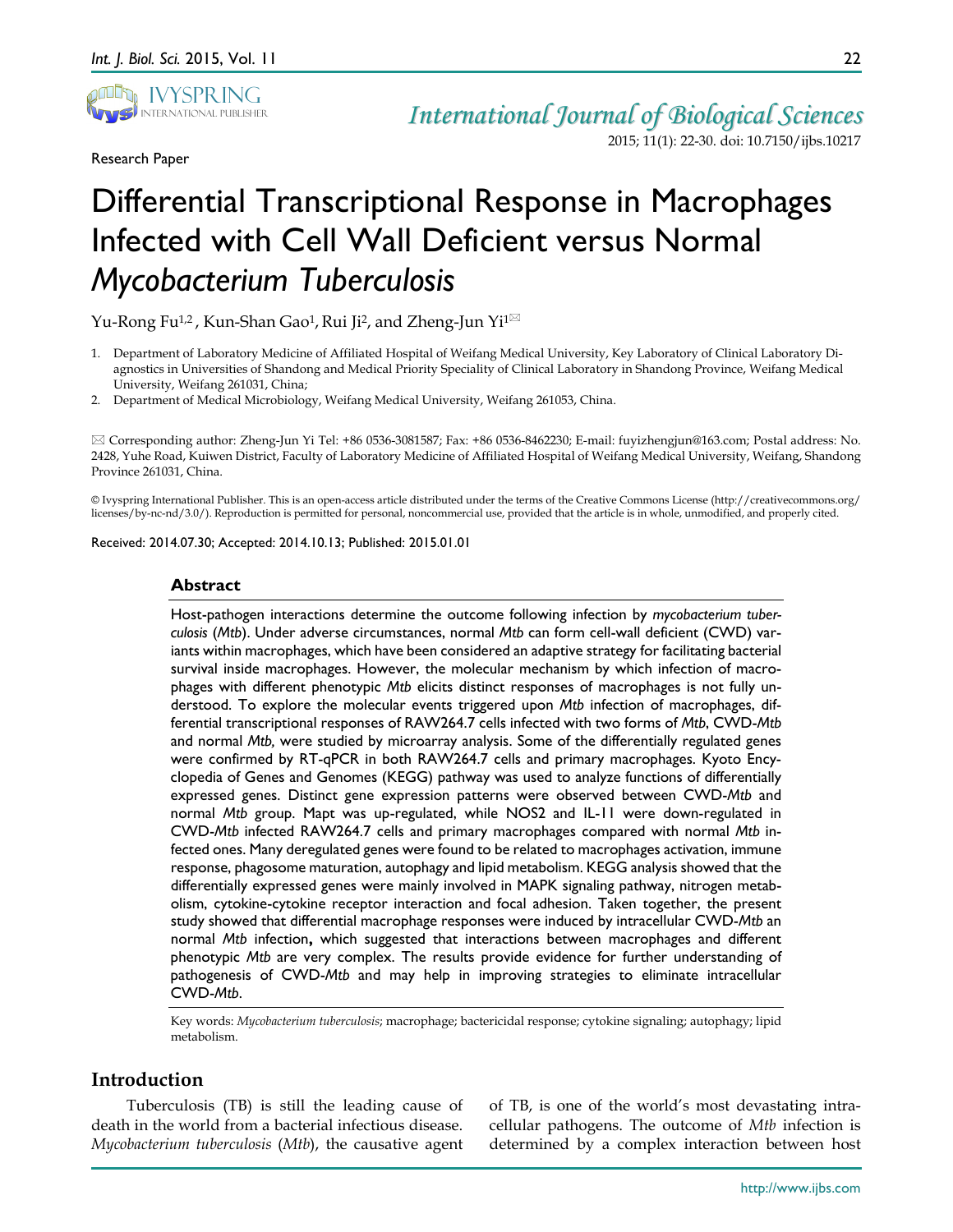

Research Paper

*International Journal of Biological Sciences* 2015; 11(1): 22-30. doi: 10.7150/ijbs.10217

# Differential Transcriptional Response in Macrophages Infected with Cell Wall Deficient versus Normal *Mycobacterium Tuberculosis*

Yu-Rong Fu<sup>1,2</sup>, Kun-Shan Gao<sup>1</sup>, Rui Ji<sup>2</sup>, and Zheng-Jun Yi<sup>1 $\boxtimes$ </sup>

- 1. Department of Laboratory Medicine of Affiliated Hospital of Weifang Medical University, Key Laboratory of Clinical Laboratory Diagnostics in Universities of Shandong and Medical Priority Speciality of Clinical Laboratory in Shandong Province, Weifang Medical University, Weifang 261031, China;
- 2. Department of Medical Microbiology, Weifang Medical University, Weifang 261053, China.

 Corresponding author: Zheng-Jun Yi Tel: +86 0536-3081587; Fax: +86 0536-8462230; E-mail: fuyizhengjun@163.com; Postal address: No. 2428, Yuhe Road, Kuiwen District, Faculty of Laboratory Medicine of Affiliated Hospital of Weifang Medical University, Weifang, Shandong Province 261031, China.

© Ivyspring International Publisher. This is an open-access article distributed under the terms of the Creative Commons License (http://creativecommons.org/ licenses/by-nc-nd/3.0/). Reproduction is permitted for personal, noncommercial use, provided that the article is in whole, unmodified, and properly cited.

Received: 2014.07.30; Accepted: 2014.10.13; Published: 2015.01.01

## **Abstract**

Host-pathogen interactions determine the outcome following infection by *mycobacterium tuberculosis* (*Mtb*). Under adverse circumstances, normal *Mtb* can form cell-wall deficient (CWD) variants within macrophages, which have been considered an adaptive strategy for facilitating bacterial survival inside macrophages. However, the molecular mechanism by which infection of macrophages with different phenotypic *Mtb* elicits distinct responses of macrophages is not fully understood. To explore the molecular events triggered upon *Mtb* infection of macrophages, differential transcriptional responses of RAW264.7 cells infected with two forms of *Mtb*, CWD-*Mtb* and normal *Mtb,* were studied by microarray analysis. Some of the differentially regulated genes were confirmed by RT-qPCR in both RAW264.7 cells and primary macrophages. Kyoto Encyclopedia of Genes and Genomes (KEGG) pathway was used to analyze functions of differentially expressed genes. Distinct gene expression patterns were observed between CWD-*Mtb* and normal *Mtb* group. Mapt was up-regulated, while NOS2 and IL-11 were down-regulated in CWD-*Mtb* infected RAW264.7 cells and primary macrophages compared with normal *Mtb* infected ones. Many deregulated genes were found to be related to macrophages activation, immune response, phagosome maturation, autophagy and lipid metabolism. KEGG analysis showed that the differentially expressed genes were mainly involved in MAPK signaling pathway, nitrogen metabolism, cytokine-cytokine receptor interaction and focal adhesion. Taken together, the present study showed that differential macrophage responses were induced by intracellular CWD-*Mtb* an normal *Mtb* infection**,** which suggested that interactions between macrophages and different phenotypic *Mtb* are very complex. The results provide evidence for further understanding of pathogenesis of CWD-*Mtb* and may help in improving strategies to eliminate intracellular CWD-*Mtb*.

Key words: *Mycobacterium tuberculosis*; macrophage; bactericidal response; cytokine signaling; autophagy; lipid metabolism.

# **Introduction**

Tuberculosis (TB) is still the leading cause of death in the world from a bacterial infectious disease. *Mycobacterium tuberculosis* (*Mtb*), the causative agent

of TB, is one of the world's most devastating intracellular pathogens. The outcome of *Mtb* infection is determined by a complex interaction between host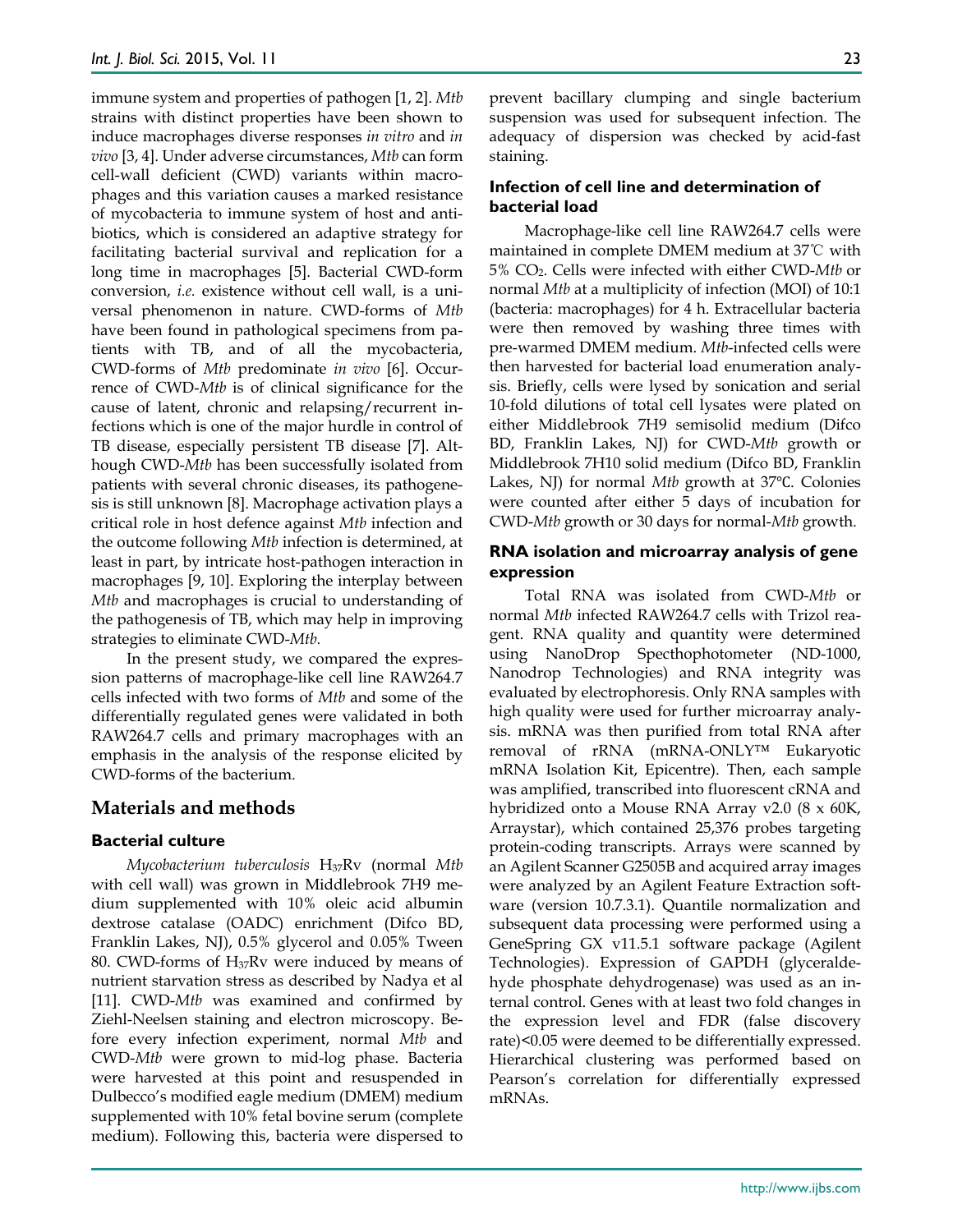immune system and properties of pathogen [1, 2]. *Mtb*  strains with distinct properties have been shown to induce macrophages diverse responses *in vitro* and *in vivo* [3, 4]. Under adverse circumstances, *Mtb* can form cell-wall deficient (CWD) variants within macrophages and this variation causes a marked resistance of mycobacteria to immune system of host and antibiotics, which is considered an adaptive strategy for facilitating bacterial survival and replication for a long time in macrophages [5]. Bacterial CWD-form conversion, *i.e.* existence without cell wall, is a universal phenomenon in nature. CWD-forms of *Mtb* have been found in pathological specimens from patients with TB, and of all the mycobacteria, CWD-forms of *Mtb* predominate *in vivo* [6]. Occurrence of CWD-*Mtb* is of clinical significance for the cause of latent, chronic and relapsing/recurrent infections which is one of the major hurdle in control of TB disease, especially persistent TB disease [7]. Although CWD-*Mtb* has been successfully isolated from patients with several chronic diseases, its pathogenesis is still unknown [8]. Macrophage activation plays a critical role in host defence against *Mtb* infection and the outcome following *Mtb* infection is determined, at least in part, by intricate host-pathogen interaction in macrophages [9, 10]. Exploring the interplay between *Mtb* and macrophages is crucial to understanding of the pathogenesis of TB, which may help in improving strategies to eliminate CWD-*Mtb.*

In the present study, we compared the expression patterns of macrophage-like cell line RAW264.7 cells infected with two forms of *Mtb* and some of the differentially regulated genes were validated in both RAW264.7 cells and primary macrophages with an emphasis in the analysis of the response elicited by CWD-forms of the bacterium.

## **Materials and methods**

## **Bacterial culture**

*Mycobacterium tuberculosis* H37Rv (normal *Mtb* with cell wall) was grown in Middlebrook 7H9 medium supplemented with 10% oleic acid albumin dextrose catalase (OADC) enrichment (Difco BD, Franklin Lakes, NJ), 0.5% glycerol and 0.05% Tween 80. CWD-forms of  $H_{37}Rv$  were induced by means of nutrient starvation stress as described by Nadya et al [11]. CWD-*Mtb* was examined and confirmed by Ziehl-Neelsen staining and electron microscopy. Before every infection experiment, normal *Mtb* and CWD-*Mtb* were grown to mid-log phase. Bacteria were harvested at this point and resuspended in Dulbecco's modified eagle medium (DMEM) medium supplemented with 10% fetal bovine serum (complete medium). Following this, bacteria were dispersed to

prevent bacillary clumping and single bacterium suspension was used for subsequent infection. The adequacy of dispersion was checked by acid-fast staining.

## **Infection of cell line and determination of bacterial load**

Macrophage-like cell line RAW264.7 cells were maintained in complete DMEM medium at 37℃ with 5% CO2. Cells were infected with either CWD-*Mtb* or normal *Mtb* at a multiplicity of infection (MOI) of 10:1 (bacteria: macrophages) for 4 h. Extracellular bacteria were then removed by washing three times with pre-warmed DMEM medium. *Mtb*-infected cells were then harvested for bacterial load enumeration analysis. Briefly, cells were lysed by sonication and serial 10-fold dilutions of total cell lysates were plated on either Middlebrook 7H9 semisolid medium (Difco BD, Franklin Lakes, NJ) for CWD-*Mtb* growth or Middlebrook 7H10 solid medium (Difco BD, Franklin Lakes, NJ) for normal *Mtb* growth at 37℃. Colonies were counted after either 5 days of incubation for CWD-*Mtb* growth or 30 days for normal-*Mtb* growth.

## **RNA isolation and microarray analysis of gene expression**

Total RNA was isolated from CWD-*Mtb* or normal *Mtb* infected RAW264.7 cells with Trizol reagent. RNA quality and quantity were determined using NanoDrop Specthophotometer (ND-1000, Nanodrop Technologies) and RNA integrity was evaluated by electrophoresis. Only RNA samples with high quality were used for further microarray analysis. mRNA was then purified from total RNA after removal of rRNA (mRNA-ONLY™ Eukaryotic mRNA Isolation Kit, Epicentre). Then, each sample was amplified, transcribed into fluorescent cRNA and hybridized onto a Mouse RNA Array v2.0 (8 x 60K, Arraystar), which contained 25,376 probes targeting protein-coding transcripts. Arrays were scanned by an Agilent Scanner G2505B and acquired array images were analyzed by an Agilent Feature Extraction software (version 10.7.3.1). Quantile normalization and subsequent data processing were performed using a GeneSpring GX v11.5.1 software package (Agilent Technologies). Expression of GAPDH (glyceraldehyde phosphate dehydrogenase) was used as an internal control. Genes with at least two fold changes in the expression level and FDR (false discovery rate)<0.05 were deemed to be differentially expressed. Hierarchical clustering was performed based on Pearson's correlation for differentially expressed mRNAs.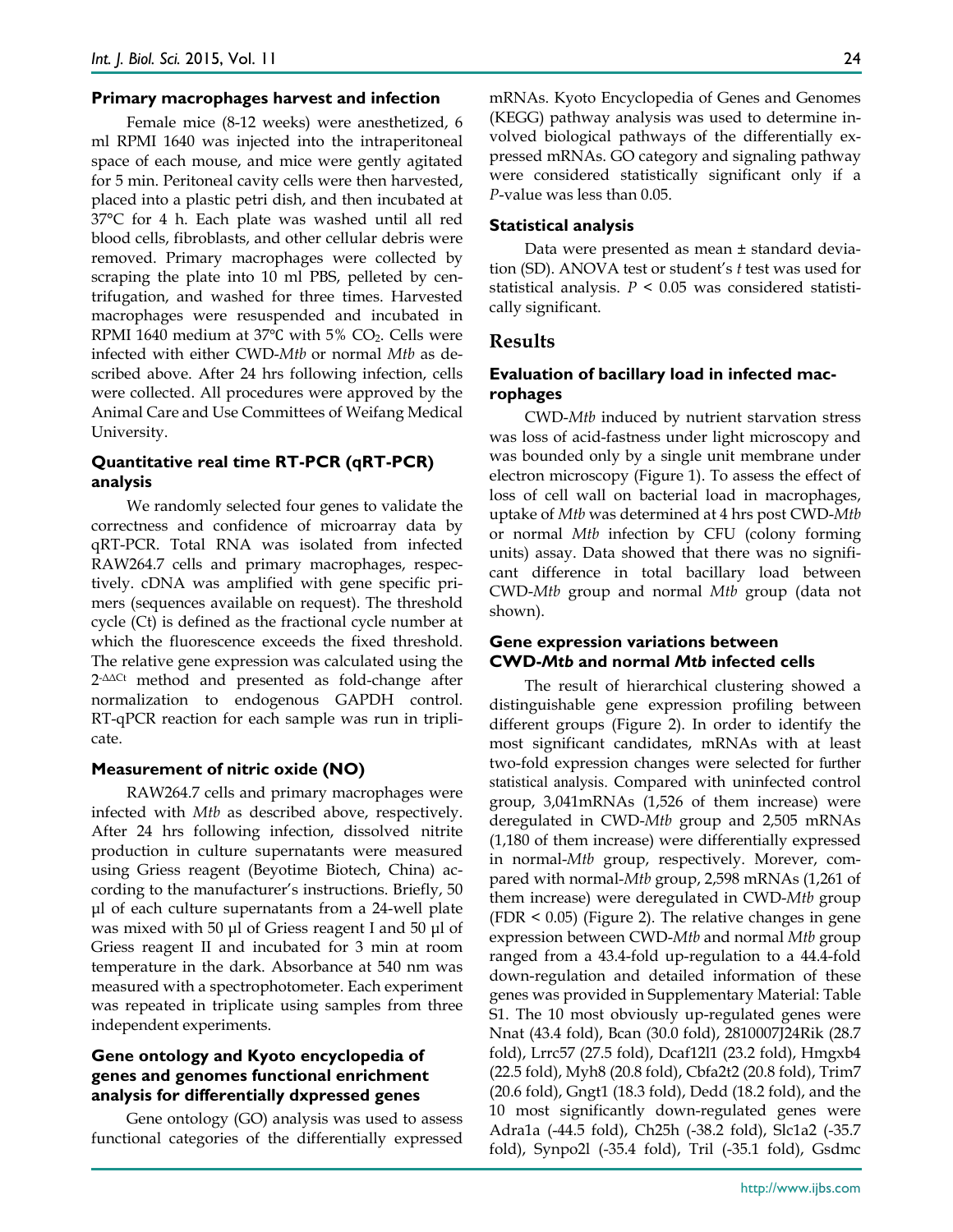#### **Primary macrophages harvest and infection**

Female mice (8-12 weeks) were anesthetized, 6 ml RPMI 1640 was injected into the intraperitoneal space of each mouse, and mice were gently agitated for 5 min. Peritoneal cavity cells were then harvested, placed into a plastic petri dish, and then incubated at 37°C for 4 h. Each plate was washed until all red blood cells, fibroblasts, and other cellular debris were removed. Primary macrophages were collected by scraping the plate into 10 ml PBS, pelleted by centrifugation, and washed for three times. Harvested macrophages were resuspended and incubated in RPMI 1640 medium at 37℃ with 5% CO2. Cells were infected with either CWD-*Mtb* or normal *Mtb* as described above. After 24 hrs following infection, cells were collected. All procedures were approved by the Animal Care and Use Committees of Weifang Medical University.

## **Quantitative real time RT-PCR (qRT-PCR) analysis**

We randomly selected four genes to validate the correctness and confidence of microarray data by qRT-PCR. Total RNA was isolated from infected RAW264.7 cells and primary macrophages, respectively. cDNA was amplified with gene specific primers (sequences available on request). The threshold cycle (Ct) is defined as the fractional cycle number at which the fluorescence exceeds the fixed threshold. The relative gene expression was calculated using the 2-ΔΔCt method and presented as fold-change after normalization to endogenous GAPDH control. RT-qPCR reaction for each sample was run in triplicate.

#### **Measurement of nitric oxide (NO)**

RAW264.7 cells and primary macrophages were infected with *Mtb* as described above, respectively. After 24 hrs following infection, dissolved nitrite production in culture supernatants were measured using Griess reagent (Beyotime Biotech, China) according to the manufacturer's instructions. Briefly, 50 μl of each culture supernatants from a 24-well plate was mixed with 50 μl of Griess reagent I and 50 μl of Griess reagent II and incubated for 3 min at room temperature in the dark. Absorbance at 540 nm was measured with a spectrophotometer. Each experiment was repeated in triplicate using samples from three independent experiments.

# **Gene ontology and Kyoto encyclopedia of genes and genomes functional enrichment analysis for differentially dxpressed genes**

Gene ontology (GO) analysis was used to assess functional categories of the differentially expressed mRNAs. Kyoto Encyclopedia of Genes and Genomes (KEGG) pathway analysis was used to determine involved biological pathways of the differentially expressed mRNAs. GO category and signaling pathway were considered statistically significant only if a *P*-value was less than 0.05.

#### **Statistical analysis**

Data were presented as mean ± standard deviation (SD). ANOVA test or student's *t* test was used for statistical analysis. *P* < 0.05 was considered statistically significant.

#### **Results**

## **Evaluation of bacillary load in infected macrophages**

CWD-*Mtb* induced by nutrient starvation stress was loss of acid-fastness under light microscopy and was bounded only by a single unit membrane under electron microscopy (Figure 1). To assess the effect of loss of cell wall on bacterial load in macrophages, uptake of *Mtb* was determined at 4 hrs post CWD-*Mtb* or normal *Mtb* infection by CFU (colony forming units) assay. Data showed that there was no significant difference in total bacillary load between CWD-*Mtb* group and normal *Mtb* group (data not shown).

#### **Gene expression variations between CWD-***Mtb* **and normal** *Mtb* **infected cells**

The result of hierarchical clustering showed a distinguishable gene expression profiling between different groups (Figure 2). In order to identify the most significant candidates, mRNAs with at least two-fold expression changes were selected for further statistical analysis. Compared with uninfected control group, 3,041mRNAs (1,526 of them increase) were deregulated in CWD-*Mtb* group and 2,505 mRNAs (1,180 of them increase) were differentially expressed in normal-*Mtb* group, respectively. Morever, compared with normal-*Mtb* group, 2,598 mRNAs (1,261 of them increase) were deregulated in CWD-*Mtb* group (FDR < 0.05) (Figure 2). The relative changes in gene expression between CWD-*Mtb* and normal *Mtb* group ranged from a 43.4-fold up-regulation to a 44.4-fold down-regulation and detailed information of these genes was provided in Supplementary Material: Table S1. The 10 most obviously up-regulated genes were Nnat (43.4 fold), Bcan (30.0 fold), 2810007J24Rik (28.7 fold), Lrrc57 (27.5 fold), Dcaf12l1 (23.2 fold), Hmgxb4 (22.5 fold), Myh8 (20.8 fold), Cbfa2t2 (20.8 fold), Trim7 (20.6 fold), Gngt1 (18.3 fold), Dedd (18.2 fold), and the 10 most significantly down-regulated genes were Adra1a (-44.5 fold), Ch25h (-38.2 fold), Slc1a2 (-35.7 fold), Synpo2l (-35.4 fold), Tril (-35.1 fold), Gsdmc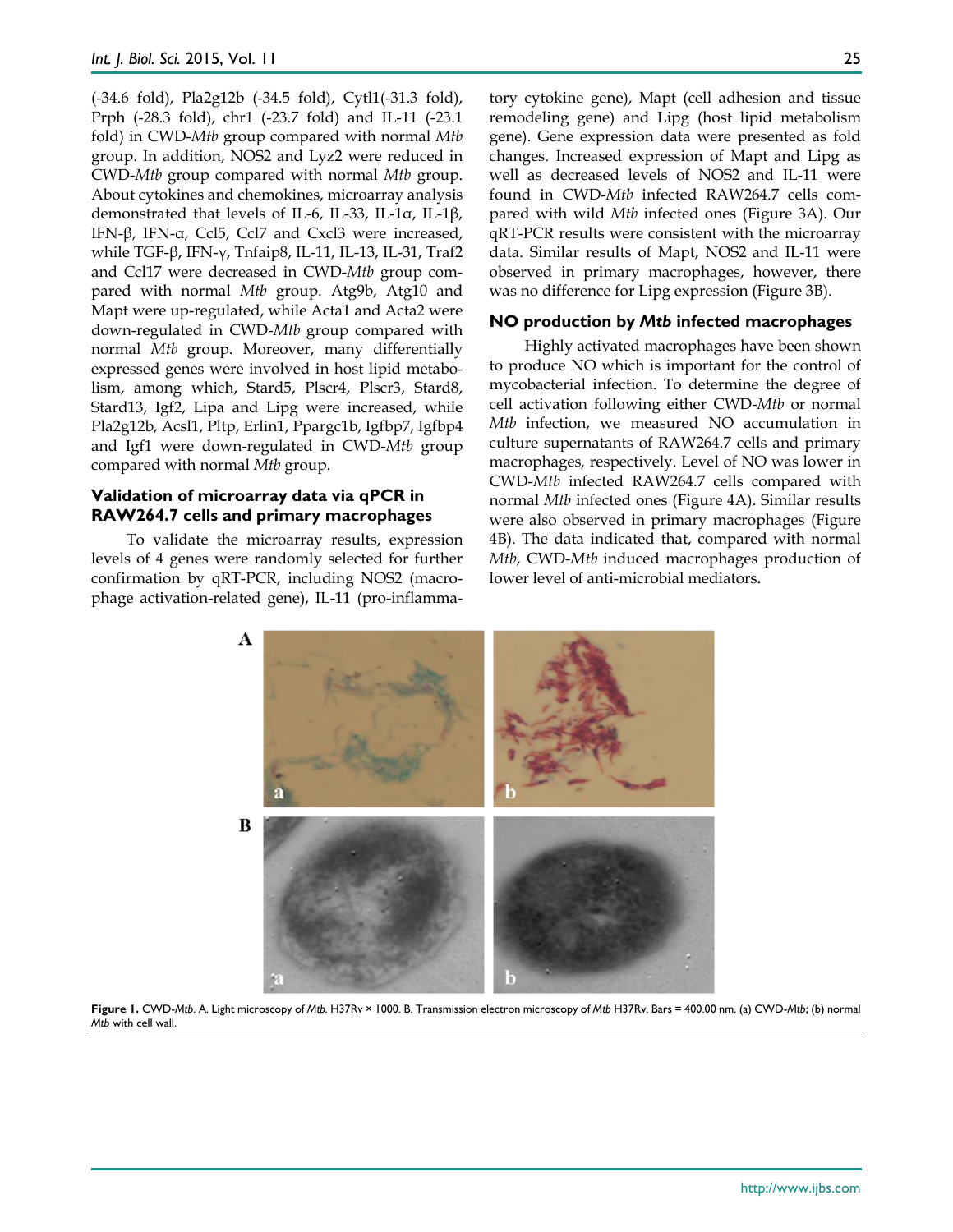(-34.6 fold), Pla2g12b (-34.5 fold), Cytl1(-31.3 fold), Prph (-28.3 fold), chr1 (-23.7 fold) and IL-11 (-23.1 fold) in CWD-*Mtb* group compared with normal *Mtb* group. In addition, NOS2 and Lyz2 were reduced in CWD-*Mtb* group compared with normal *Mtb* group. About cytokines and chemokines, microarray analysis demonstrated that levels of IL-6, IL-33, IL-1α, IL-1β, IFN-β, IFN-α, Ccl5, Ccl7 and Cxcl3 were increased, while TGF-β, IFN-γ, Tnfaip8, IL-11, IL-13, IL-31, Traf2 and Ccl17 were decreased in CWD-*Mtb* group compared with normal *Mtb* group. Atg9b, Atg10 and Mapt were up-regulated, while Acta1 and Acta2 were down-regulated in CWD-*Mtb* group compared with normal *Mtb* group. Moreover, many differentially expressed genes were involved in host lipid metabolism, among which, Stard5, Plscr4, Plscr3, Stard8, Stard13, Igf2, Lipa and Lipg were increased, while Pla2g12b, Acsl1, Pltp, Erlin1, Ppargc1b, Igfbp7, Igfbp4 and Igf1 were down-regulated in CWD-*Mtb* group compared with normal *Mtb* group.

#### **Validation of microarray data via qPCR in RAW264.7 cells and primary macrophages**

To validate the microarray results, expression levels of 4 genes were randomly selected for further confirmation by qRT-PCR, including NOS2 (macrophage activation-related gene), IL-11 (pro-inflammatory cytokine gene), Mapt (cell adhesion and tissue remodeling gene) and Lipg (host lipid metabolism gene). Gene expression data were presented as fold changes. Increased expression of Mapt and Lipg as well as decreased levels of NOS2 and IL-11 were found in CWD-*Mtb* infected RAW264.7 cells compared with wild *Mtb* infected ones (Figure 3A). Our qRT-PCR results were consistent with the microarray data. Similar results of Mapt, NOS2 and IL-11 were observed in primary macrophages, however, there was no difference for Lipg expression (Figure 3B).

### **NO production by** *Mtb* **infected macrophages**

Highly activated macrophages have been shown to produce NO which is important for the control of mycobacterial infection. To determine the degree of cell activation following either CWD-*Mtb* or normal *Mtb* infection, we measured NO accumulation in culture supernatants of RAW264.7 cells and primary macrophages*,* respectively. Level of NO was lower in CWD-*Mtb* infected RAW264.7 cells compared with normal *Mtb* infected ones (Figure 4A). Similar results were also observed in primary macrophages (Figure 4B). The data indicated that, compared with normal *Mtb*, CWD-*Mtb* induced macrophages production of lower level of anti-microbial mediators**.**



**Figure 1.** CWD-*Mtb*. A. Light microscopy of *Mtb.* H37Rv × 1000. B. Transmission electron microscopy of *Mtb* H37Rv. Bars = 400.00 nm. (a) CWD-*Mtb*; (b) normal *Mtb* with cell wall.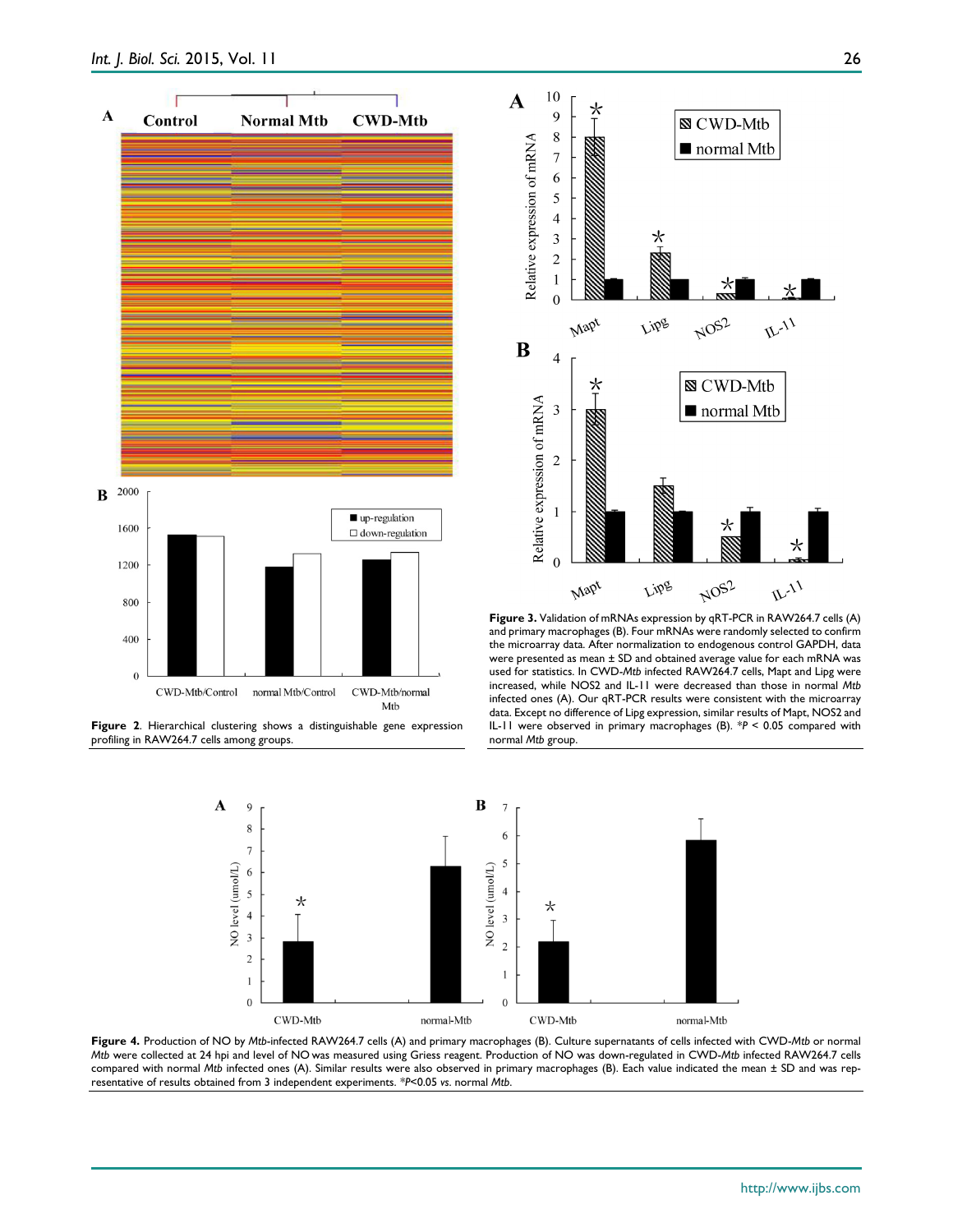

**Figure 2**. Hierarchical clustering shows a distinguishable gene expression profiling in RAW264.7 cells among groups.



**Figure 3.** Validation of mRNAs expression by qRT-PCR in RAW264.7 cells (A) and primary macrophages (B). Four mRNAs were randomly selected to confirm the microarray data. After normalization to endogenous control GAPDH, data were presented as mean ± SD and obtained average value for each mRNA was used for statistics. In CWD-*Mtb* infected RAW264.7 cells, Mapt and Lipg were increased, while NOS2 and IL-11 were decreased than those in normal *Mtb* infected ones (A). Our qRT-PCR results were consistent with the microarray data. Except no difference of Lipg expression, similar results of Mapt, NOS2 and IL-11 were observed in primary macrophages (B). \**P* < 0.05 compared with normal *Mtb* group.



**Figure 4.** Production of NO by *Mtb*-infected RAW264.7 cells (A) and primary macrophages (B). Culture supernatants of cells infected with CWD-*Mtb* or normal *Mtb* were collected at 24 hpi and level of NO was measured using Griess reagent. Production of NO was down-regulated in CWD-*Mtb* infected RAW264.7 cells compared with normal *Mtb* infected ones (A). Similar results were also observed in primary macrophages (B). Each value indicated the mean ± SD and was representative of results obtained from 3 independent experiments. *\*P*<0.05 *vs*. normal *Mtb*.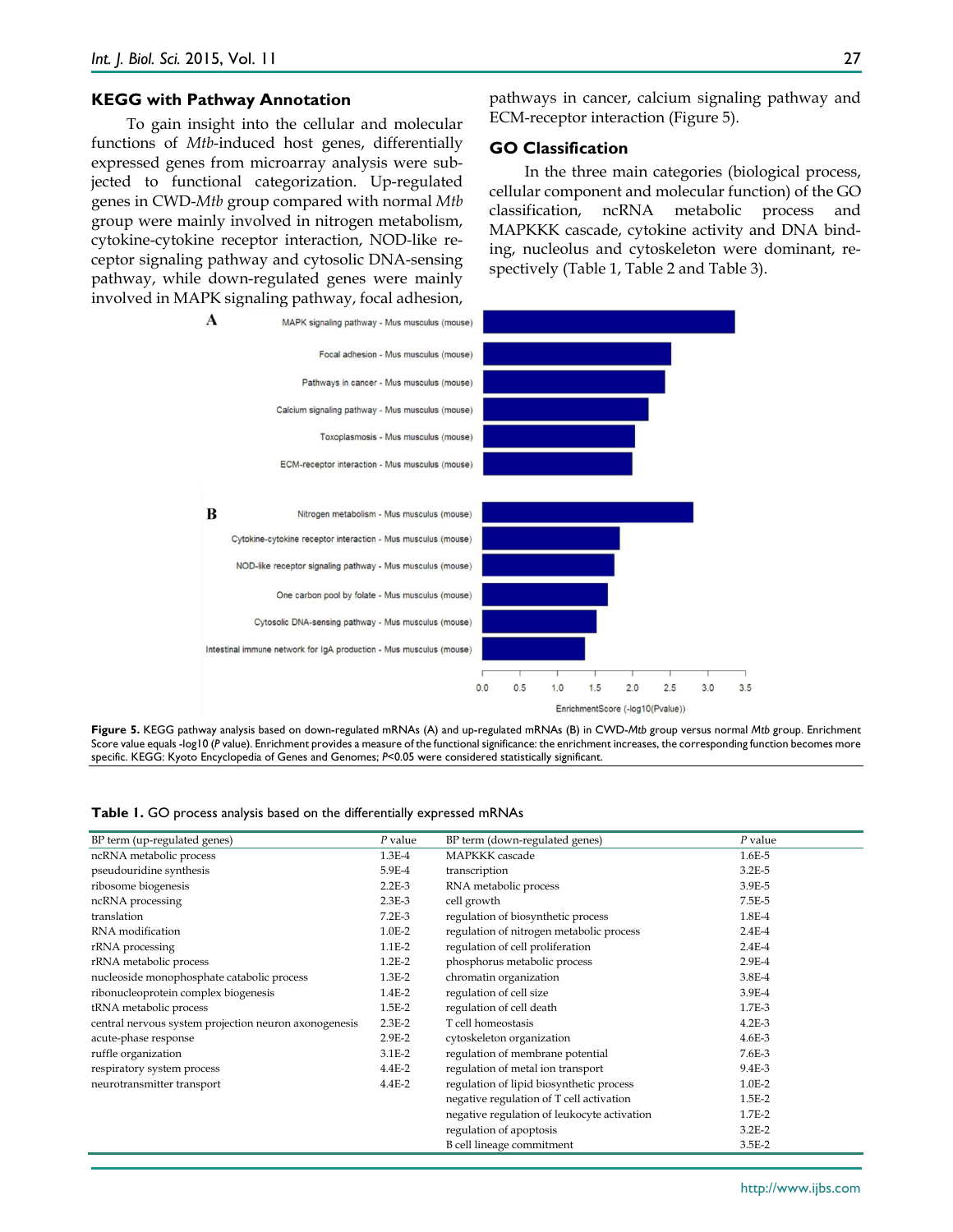#### **KEGG with Pathway Annotation**

To gain insight into the cellular and molecular functions of *Mtb*-induced host genes, differentially expressed genes from microarray analysis were subjected to functional categorization. Up-regulated genes in CWD-*Mtb* group compared with normal *Mtb* group were mainly involved in nitrogen metabolism, cytokine-cytokine receptor interaction, NOD-like receptor signaling pathway and cytosolic DNA-sensing pathway, while down-regulated genes were mainly involved in MAPK signaling pathway, focal adhesion,

pathways in cancer, calcium signaling pathway and ECM-receptor interaction (Figure 5).

#### **GO Classification**

In the three main categories (biological process, cellular component and molecular function) of the GO classification, ncRNA metabolic process and MAPKKK cascade, cytokine activity and DNA binding, nucleolus and cytoskeleton were dominant, respectively (Table 1, Table 2 and Table 3).



**Figure 5.** KEGG pathway analysis based on down-regulated mRNAs (A) and up-regulated mRNAs (B) in CWD-*Mtb* group versus normal *Mtb* group. Enrichment Score value equals -log10 (P value). Enrichment provides a measure of the functional significance: the enrichment increases, the corresponding function becomes more specific. KEGG: Kyoto Encyclopedia of Genes and Genomes; *P*<0.05 were considered statistically significant.

|  |  |  |  | <b>Table 1.</b> GO process analysis based on the differentially expressed mRNAs |  |  |  |  |  |  |  |  |
|--|--|--|--|---------------------------------------------------------------------------------|--|--|--|--|--|--|--|--|
|--|--|--|--|---------------------------------------------------------------------------------|--|--|--|--|--|--|--|--|

| BP term (up-regulated genes)                          | P value    | BP term (down-regulated genes)              | $P$ value  |
|-------------------------------------------------------|------------|---------------------------------------------|------------|
| ncRNA metabolic process                               | 1.3E-4     | <b>MAPKKK</b> cascade                       | 1.6E-5     |
| pseudouridine synthesis                               | 5.9E-4     | transcription                               | $3.2E-5$   |
| ribosome biogenesis                                   | $2.2E-3$   | RNA metabolic process                       | 3.9E-5     |
| ncRNA processing                                      | $2.3E-3$   | cell growth                                 | 7.5E-5     |
| translation                                           | $7.2E-3$   | regulation of biosynthetic process          | 1.8E-4     |
| RNA modification                                      | $1.0E-2$   | regulation of nitrogen metabolic process    | $2.4E-4$   |
| rRNA processing                                       | 1.1E-2     | regulation of cell proliferation            | $2.4E-4$   |
| rRNA metabolic process                                | $1.2E-2$   | phosphorus metabolic process                | 2.9E-4     |
| nucleoside monophosphate catabolic process            | $1.3E-2$   | chromatin organization                      | 3.8E-4     |
| ribonucleoprotein complex biogenesis                  | 1.4E-2     | regulation of cell size                     | 3.9E-4     |
| tRNA metabolic process                                | $1.5E-2$   | regulation of cell death                    | 1.7E-3     |
| central nervous system projection neuron axonogenesis | $2.3E-2$   | T cell homeostasis                          | $4.2E-3$   |
| acute-phase response                                  | $2.9E-2$   | cytoskeleton organization                   | $4.6E-3$   |
| ruffle organization                                   | $3.1E-2$   | regulation of membrane potential            | 7.6E-3     |
| respiratory system process                            | $4.4E - 2$ | regulation of metal ion transport           | 9.4E-3     |
| neurotransmitter transport                            | $4.4E - 2$ | regulation of lipid biosynthetic process    | $1.0E-2$   |
|                                                       |            | negative regulation of T cell activation    | $1.5E-2$   |
|                                                       |            | negative regulation of leukocyte activation | $1.7E-2$   |
|                                                       |            | regulation of apoptosis                     | $3.2E - 2$ |
|                                                       |            | B cell lineage commitment                   | $3.5E-2$   |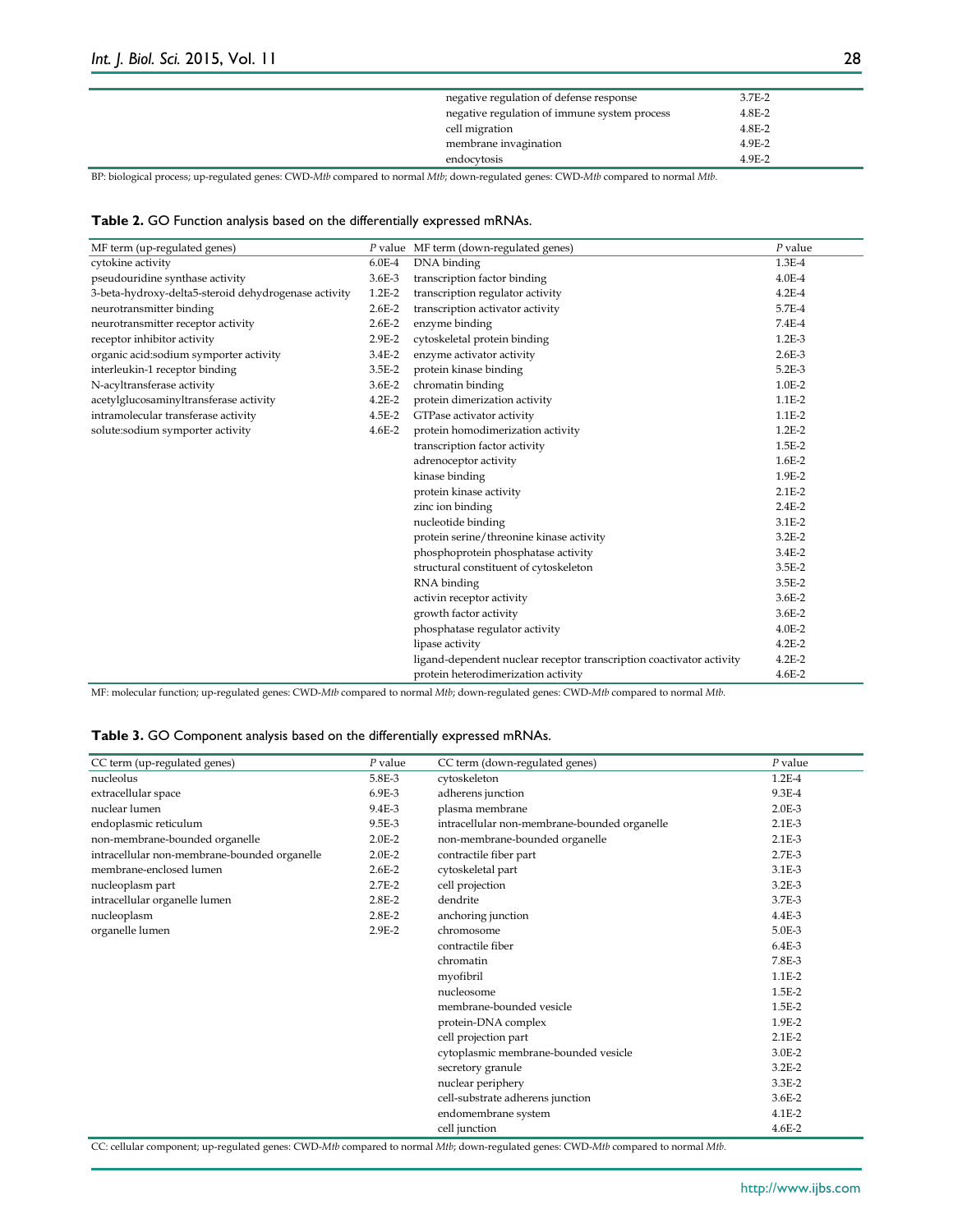| negative regulation of defense response      | 3.7E-2   |  |
|----------------------------------------------|----------|--|
| negative regulation of immune system process | $4.8E-2$ |  |
| cell migration                               | 4.8E-2   |  |
| membrane invagination                        | 4.9E-2   |  |
| endocytosis                                  | 4.9E-2   |  |
|                                              |          |  |

BP: biological process; up-regulated genes: CWD-*Mtb* compared to normal *Mtb*; down-regulated genes: CWD-*Mtb* compared to normal *Mtb.*

| Table 2. GO Function analysis based on the differentially expressed mRNAs. |  |
|----------------------------------------------------------------------------|--|
|----------------------------------------------------------------------------|--|

| MF term (up-regulated genes)                         |            | P value MF term (down-regulated genes)                               | $P$ value  |
|------------------------------------------------------|------------|----------------------------------------------------------------------|------------|
| cytokine activity                                    | $6.0E-4$   | DNA binding                                                          | $1.3E-4$   |
| pseudouridine synthase activity                      | 3.6E-3     | transcription factor binding                                         | $4.0E-4$   |
| 3-beta-hydroxy-delta5-steroid dehydrogenase activity | $1.2E-2$   | transcription regulator activity                                     | $4.2E-4$   |
| neurotransmitter binding                             | $2.6E-2$   | transcription activator activity                                     | 5.7E-4     |
| neurotransmitter receptor activity                   | $2.6E - 2$ | enzyme binding                                                       | 7.4E-4     |
| receptor inhibitor activity                          | $2.9E-2$   | cytoskeletal protein binding                                         | $1.2E-3$   |
| organic acid:sodium symporter activity               | $3.4E-2$   | enzyme activator activity                                            | $2.6E-3$   |
| interleukin-1 receptor binding                       | 3.5E-2     | protein kinase binding                                               | 5.2E-3     |
| N-acyltransferase activity                           | $3.6E - 2$ | chromatin binding                                                    | $1.0E-2$   |
| acetylglucosaminyltransferase activity               | $4.2E - 2$ | protein dimerization activity                                        | $1.1E-2$   |
| intramolecular transferase activity                  | 4.5E-2     | GTPase activator activity                                            | 1.1E-2     |
| solute:sodium symporter activity                     | $4.6E-2$   | protein homodimerization activity                                    | $1.2E-2$   |
|                                                      |            | transcription factor activity                                        | $1.5E-2$   |
|                                                      |            | adrenoceptor activity                                                | $1.6E-2$   |
|                                                      |            | kinase binding                                                       | 1.9E-2     |
|                                                      |            | protein kinase activity                                              | $2.1E-2$   |
|                                                      |            | zinc ion binding                                                     | $2.4E-2$   |
|                                                      |            | nucleotide binding                                                   | $3.1E-2$   |
|                                                      |            | protein serine/threonine kinase activity                             | $3.2E-2$   |
|                                                      |            | phosphoprotein phosphatase activity                                  | 3.4E-2     |
|                                                      |            | structural constituent of cytoskeleton                               | 3.5E-2     |
|                                                      |            | RNA binding                                                          | 3.5E-2     |
|                                                      |            | activin receptor activity                                            | $3.6E - 2$ |
|                                                      |            | growth factor activity                                               | $3.6E - 2$ |
|                                                      |            | phosphatase regulator activity                                       | 4.0E-2     |
|                                                      |            | lipase activity                                                      | $4.2E - 2$ |
|                                                      |            | ligand-dependent nuclear receptor transcription coactivator activity | $4.2E-2$   |
|                                                      |            | protein heterodimerization activity                                  | 4.6E-2     |

MF: molecular function; up-regulated genes: CWD-*Mtb* compared to normal *Mtb*; down-regulated genes: CWD-*Mtb* compared to normal *Mtb.*

#### **Table 3.** GO Component analysis based on the differentially expressed mRNAs.

| CC term (up-regulated genes)                 | $P$ value  | CC term (down-regulated genes)               | $P$ value  |
|----------------------------------------------|------------|----------------------------------------------|------------|
| nucleolus                                    | 5.8E-3     | cytoskeleton                                 | $1.2E-4$   |
| extracellular space                          | 6.9E-3     | adherens junction                            | 9.3E-4     |
| nuclear lumen                                | 9.4E-3     | plasma membrane                              | $2.0E-3$   |
| endoplasmic reticulum                        | 9.5E-3     | intracellular non-membrane-bounded organelle | $2.1E-3$   |
| non-membrane-bounded organelle               | $2.0E-2$   | non-membrane-bounded organelle               | $2.1E-3$   |
| intracellular non-membrane-bounded organelle | $2.0E-2$   | contractile fiber part                       | $2.7E-3$   |
| membrane-enclosed lumen                      | $2.6E - 2$ | cytoskeletal part                            | 3.1E-3     |
| nucleoplasm part                             | $2.7E-2$   | cell projection                              | $3.2E-3$   |
| intracellular organelle lumen                | $2.8E - 2$ | dendrite                                     | 3.7E-3     |
| nucleoplasm                                  | $2.8E - 2$ | anchoring junction                           | $4.4E-3$   |
| organelle lumen                              | $2.9E-2$   | chromosome                                   | 5.0E-3     |
|                                              |            | contractile fiber                            | $6.4E-3$   |
|                                              |            | chromatin                                    | 7.8E-3     |
|                                              |            | myofibril                                    | $1.1E-2$   |
|                                              |            | nucleosome                                   | 1.5E-2     |
|                                              |            | membrane-bounded vesicle                     | $1.5E-2$   |
|                                              |            | protein-DNA complex                          | 1.9E-2     |
|                                              |            | cell projection part                         | $2.1E-2$   |
|                                              |            | cytoplasmic membrane-bounded vesicle         | 3.0E-2     |
|                                              |            | secretory granule                            | $3.2E-2$   |
|                                              |            | nuclear periphery                            | $3.3E-2$   |
|                                              |            | cell-substrate adherens junction             | $3.6E - 2$ |
|                                              |            | endomembrane system                          | $4.1E-2$   |
|                                              |            | cell junction                                | $4.6E - 2$ |

CC: cellular component; up-regulated genes: CWD-*Mtb* compared to normal *Mtb*; down-regulated genes: CWD-*Mtb* compared to normal *Mtb.*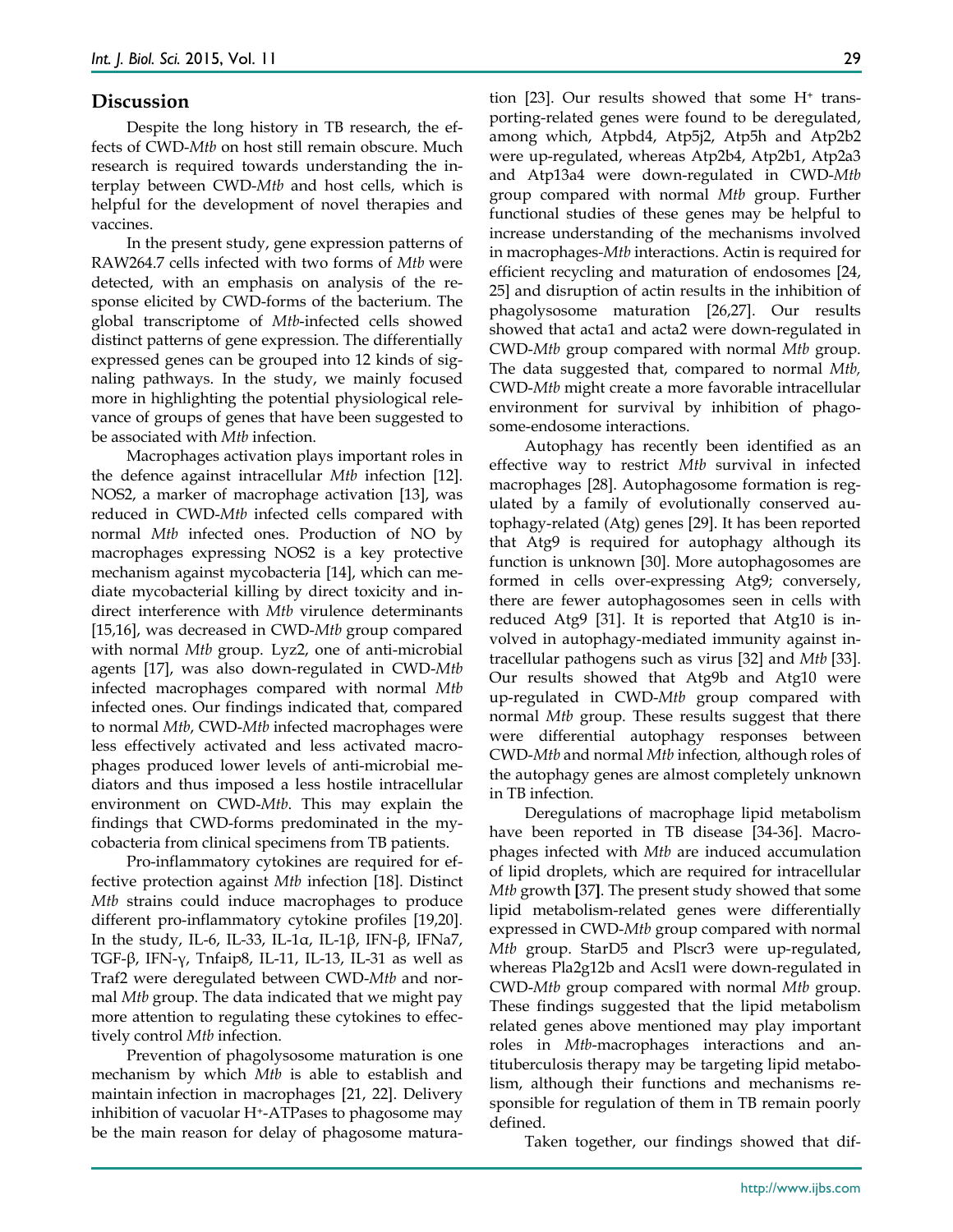#### **Discussion**

Despite the long history in TB research, the effects of CWD-*Mtb* on host still remain obscure. Much research is required towards understanding the interplay between CWD-*Mtb* and host cells, which is helpful for the development of novel therapies and vaccines.

In the present study, gene expression patterns of RAW264.7 cells infected with two forms of *Mtb* were detected, with an emphasis on analysis of the response elicited by CWD-forms of the bacterium. The global transcriptome of *Mtb*-infected cells showed distinct patterns of gene expression. The differentially expressed genes can be grouped into 12 kinds of signaling pathways. In the study, we mainly focused more in highlighting the potential physiological relevance of groups of genes that have been suggested to be associated with *Mtb* infection.

Macrophages activation plays important roles in the defence against intracellular *Mtb* infection [12]. NOS2, a marker of macrophage activation [13], was reduced in CWD-*Mtb* infected cells compared with normal *Mtb* infected ones. Production of NO by macrophages expressing NOS2 is a key protective mechanism against mycobacteria [14], which can mediate mycobacterial killing by direct toxicity and indirect interference with *Mtb* virulence determinants [15,16], was decreased in CWD-*Mtb* group compared with normal *Mtb* group. Lyz2, one of anti-microbial agents [17], was also down-regulated in CWD-*Mtb*  infected macrophages compared with normal *Mtb*  infected ones. Our findings indicated that, compared to normal *Mtb*, CWD-*Mtb* infected macrophages were less effectively activated and less activated macrophages produced lower levels of anti-microbial mediators and thus imposed a less hostile intracellular environment on CWD-*Mtb*. This may explain the findings that CWD-forms predominated in the mycobacteria from clinical specimens from TB patients.

Pro-inflammatory cytokines are required for effective protection against *Mtb* infection [18]. Distinct *Mtb* strains could induce macrophages to produce different pro-inflammatory cytokine profiles [19,20]. In the study, IL-6, IL-33, IL-1α, IL-1β, IFN-β, IFNa7, TGF-β, IFN-γ, Tnfaip8, IL-11, IL-13, IL-31 as well as Traf2 were deregulated between CWD-*Mtb* and normal *Mtb* group. The data indicated that we might pay more attention to regulating these cytokines to effectively control *Mtb* infection.

Prevention of phagolysosome maturation is one mechanism by which *Mtb* is able to establish and maintain infection in macrophages [21, 22]. Delivery inhibition of vacuolar H+-ATPases to phagosome may be the main reason for delay of phagosome maturation [23]. Our results showed that some  $H^+$  transporting-related genes were found to be deregulated, among which, Atpbd4, Atp5j2, Atp5h and Atp2b2 were up-regulated, whereas Atp2b4, Atp2b1, Atp2a3 and Atp13a4 were down-regulated in CWD-*Mtb* group compared with normal *Mtb* group. Further functional studies of these genes may be helpful to increase understanding of the mechanisms involved in macrophages*-Mtb* interactions. Actin is required for efficient recycling and maturation of endosomes [24, 25] and disruption of actin results in the inhibition of phagolysosome maturation [26,27]. Our results showed that acta1 and acta2 were down-regulated in CWD-*Mtb* group compared with normal *Mtb* group. The data suggested that, compared to normal *Mtb,* CWD-*Mtb* might create a more favorable intracellular environment for survival by inhibition of phagosome-endosome interactions.

Autophagy has recently been identified as an effective way to restrict *Mtb* survival in infected macrophages [28]. Autophagosome formation is regulated by a family of evolutionally conserved autophagy-related (Atg) genes [29]. It has been reported that Atg9 is required for autophagy although its function is unknown [30]. More autophagosomes are formed in cells over-expressing Atg9; conversely, there are fewer autophagosomes seen in cells with reduced Atg9 [31]. It is reported that Atg10 is involved in autophagy-mediated immunity against intracellular pathogens such as virus [32] and *Mtb* [33]. Our results showed that Atg9b and Atg10 were up-regulated in CWD-*Mtb* group compared with normal *Mtb* group. These results suggest that there were differential autophagy responses between CWD-*Mtb* and normal *Mtb* infection*,* although roles of the autophagy genes are almost completely unknown in TB infection.

Deregulations of macrophage lipid metabolism have been reported in TB disease [34-36]. Macrophages infected with *Mtb* are induced accumulation of lipid droplets, which are required for intracellular *Mtb* growth **[**37**]**. The present study showed that some lipid metabolism-related genes were differentially expressed in CWD-*Mtb* group compared with normal *Mtb* group. StarD5 and Plscr3 were up-regulated, whereas Pla2g12b and Acsl1 were down-regulated in CWD-*Mtb* group compared with normal *Mtb* group. These findings suggested that the lipid metabolism related genes above mentioned may play important roles in *Mtb*-macrophages interactions and antituberculosis therapy may be targeting lipid metabolism, although their functions and mechanisms responsible for regulation of them in TB remain poorly defined.

Taken together, our findings showed that dif-